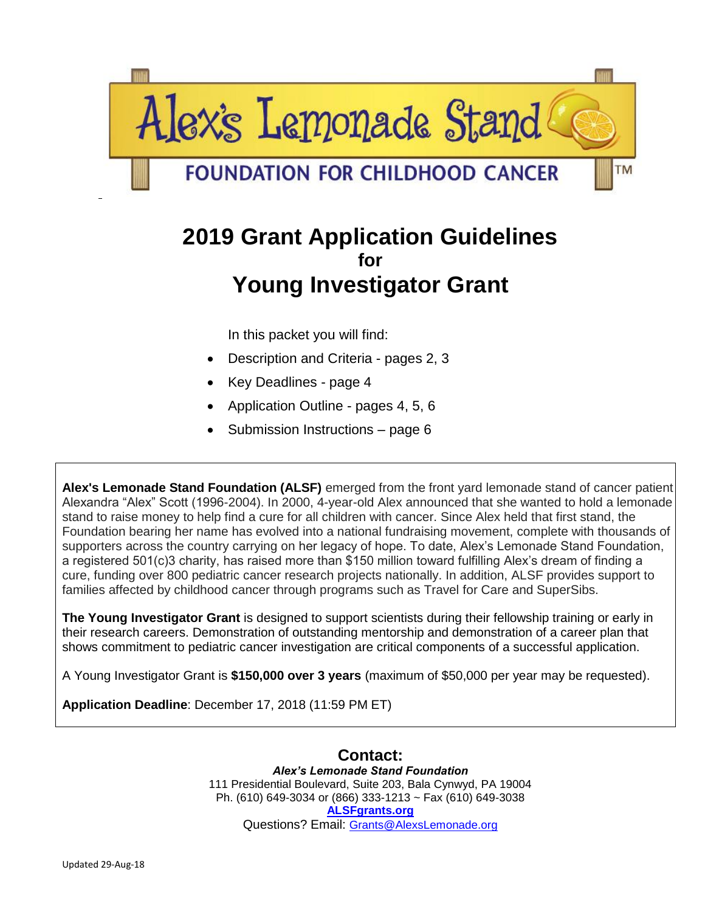

# **2019 Grant Application Guidelines for Young Investigator Grant**

In this packet you will find:

- Description and Criteria pages 2, 3
- Key Deadlines page 4
- Application Outline pages 4, 5, 6
- Submission Instructions page 6

**Alex's Lemonade Stand Foundation (ALSF)** emerged from the front yard lemonade stand of cancer patient Alexandra "Alex" Scott (1996-2004). In 2000, 4-year-old Alex announced that she wanted to hold a lemonade stand to raise money to help find a cure for all children with cancer. Since Alex held that first stand, the Foundation bearing her name has evolved into a national fundraising movement, complete with thousands of supporters across the country carrying on her legacy of hope. To date, Alex's Lemonade Stand Foundation, a registered 501(c)3 charity, has raised more than \$150 million toward fulfilling Alex's dream of finding a cure, funding over 800 pediatric cancer research projects nationally. In addition, ALSF provides support to families affected by childhood cancer through programs such as Travel for Care and SuperSibs.

**The Young Investigator Grant** is designed to support scientists during their fellowship training or early in their research careers. Demonstration of outstanding mentorship and demonstration of a career plan that shows commitment to pediatric cancer investigation are critical components of a successful application.

A Young Investigator Grant is **\$150,000 over 3 years** (maximum of \$50,000 per year may be requested).

**Application Deadline**: December 17, 2018 (11:59 PM ET)

**Contact:** *Alex's Lemonade Stand Foundation* 111 Presidential Boulevard, Suite 203, Bala Cynwyd, PA 19004 Ph. (610) 649-3034 or (866) 333-1213 ~ Fax (610) 649-3038 **[ALSFgrants.org](http://www.alsfgrants.org/)** Questions? Email: [Grants@AlexsLemonade.org](mailto:Grants@AlexsLemonade.org)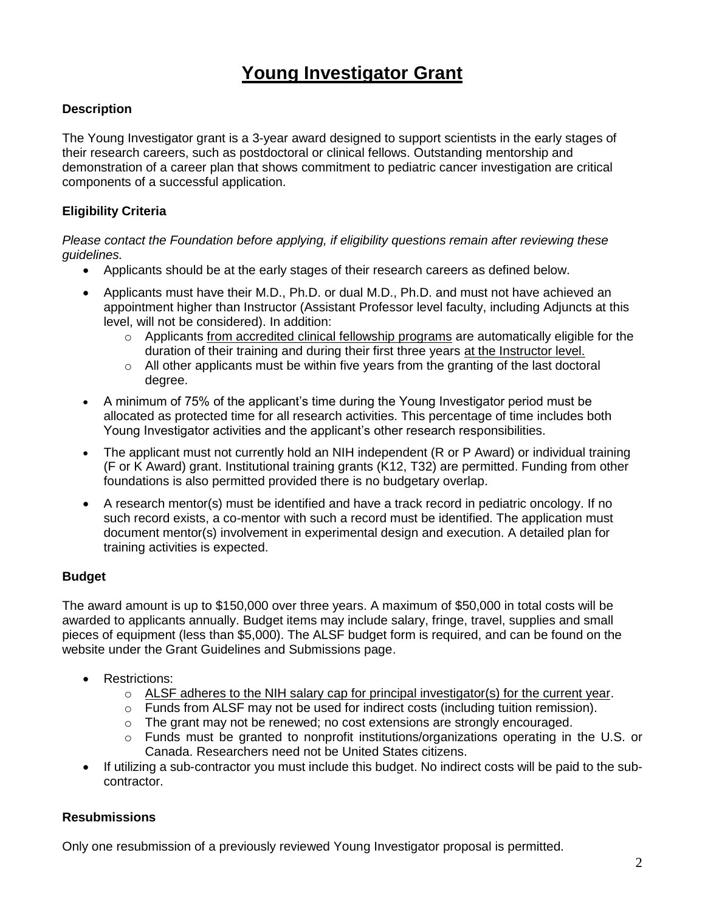# **Young Investigator Grant**

## **Description**

The Young Investigator grant is a 3-year award designed to support scientists in the early stages of their research careers, such as postdoctoral or clinical fellows. Outstanding mentorship and demonstration of a career plan that shows commitment to pediatric cancer investigation are critical components of a successful application.

## **Eligibility Criteria**

#### *Please contact the Foundation before applying, if eligibility questions remain after reviewing these guidelines.*

- Applicants should be at the early stages of their research careers as defined below.
- Applicants must have their M.D., Ph.D. or dual M.D., Ph.D. and must not have achieved an appointment higher than Instructor (Assistant Professor level faculty, including Adjuncts at this level, will not be considered). In addition:
	- o Applicants from accredited clinical fellowship programs are automatically eligible for the duration of their training and during their first three years at the Instructor level.
	- $\circ$  All other applicants must be within five years from the granting of the last doctoral degree.
- A minimum of 75% of the applicant's time during the Young Investigator period must be allocated as protected time for all research activities. This percentage of time includes both Young Investigator activities and the applicant's other research responsibilities.
- The applicant must not currently hold an NIH independent (R or P Award) or individual training (F or K Award) grant. Institutional training grants (K12, T32) are permitted. Funding from other foundations is also permitted provided there is no budgetary overlap.
- A research mentor(s) must be identified and have a track record in pediatric oncology. If no such record exists, a co-mentor with such a record must be identified. The application must document mentor(s) involvement in experimental design and execution. A detailed plan for training activities is expected.

## **Budget**

The award amount is up to \$150,000 over three years. A maximum of \$50,000 in total costs will be awarded to applicants annually. Budget items may include salary, fringe, travel, supplies and small pieces of equipment (less than \$5,000). The ALSF budget form is required, and can be found on the website under the Grant Guidelines and Submissions page.

- Restrictions:
	- o ALSF adheres to the NIH salary cap for principal investigator(s) for the current year.
	- $\circ$  Funds from ALSF may not be used for indirect costs (including tuition remission).
	- o The grant may not be renewed; no cost extensions are strongly encouraged.
	- $\circ$  Funds must be granted to nonprofit institutions/organizations operating in the U.S. or Canada. Researchers need not be United States citizens.
- If utilizing a sub-contractor you must include this budget. No indirect costs will be paid to the subcontractor.

## **Resubmissions**

Only one resubmission of a previously reviewed Young Investigator proposal is permitted.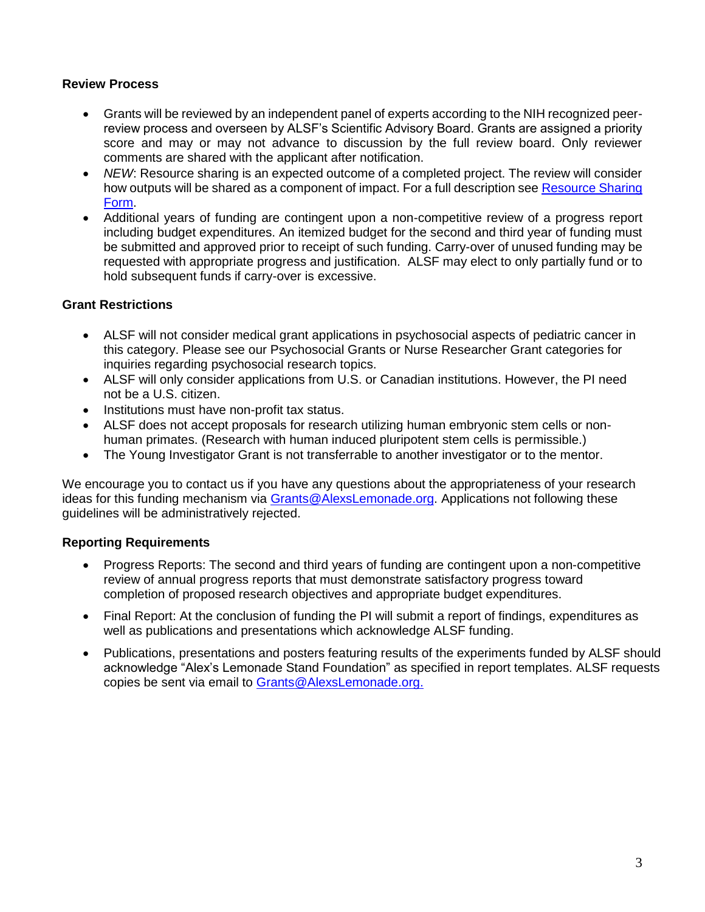#### **Review Process**

- Grants will be reviewed by an independent panel of experts according to the NIH recognized peerreview process and overseen by ALSF's Scientific Advisory Board. Grants are assigned a priority score and may or may not advance to discussion by the full review board. Only reviewer comments are shared with the applicant after notification.
- *NEW*: Resource sharing is an expected outcome of a completed project. The review will consider how outputs will be shared as a component of impact. For a full description see [Resource Sharing](https://www.alexslemonade.org/researchers-reviewers/applicants)  [Form.](https://www.alexslemonade.org/researchers-reviewers/applicants)
- Additional years of funding are contingent upon a non-competitive review of a progress report including budget expenditures. An itemized budget for the second and third year of funding must be submitted and approved prior to receipt of such funding. Carry-over of unused funding may be requested with appropriate progress and justification. ALSF may elect to only partially fund or to hold subsequent funds if carry-over is excessive.

### **Grant Restrictions**

- ALSF will not consider medical grant applications in psychosocial aspects of pediatric cancer in this category. Please see our Psychosocial Grants or Nurse Researcher Grant categories for inquiries regarding psychosocial research topics.
- ALSF will only consider applications from U.S. or Canadian institutions. However, the PI need not be a U.S. citizen.
- Institutions must have non-profit tax status.
- ALSF does not accept proposals for research utilizing human embryonic stem cells or nonhuman primates. (Research with human induced pluripotent stem cells is permissible.)
- The Young Investigator Grant is not transferrable to another investigator or to the mentor.

We encourage you to contact us if you have any questions about the appropriateness of your research ideas for this funding mechanism via [Grants@AlexsLemonade.org.](mailto:Grants@alexslemonade.com) Applications not following these guidelines will be administratively rejected.

### **Reporting Requirements**

- Progress Reports: The second and third years of funding are contingent upon a non-competitive review of annual progress reports that must demonstrate satisfactory progress toward completion of proposed research objectives and appropriate budget expenditures.
- Final Report: At the conclusion of funding the PI will submit a report of findings, expenditures as well as publications and presentations which acknowledge ALSF funding.
- Publications, presentations and posters featuring results of the experiments funded by ALSF should acknowledge "Alex's Lemonade Stand Foundation" as specified in report templates. ALSF requests copies be sent via email to [Grants@AlexsLemonade.org.](mailto:Grants@AlexsLemonade.org)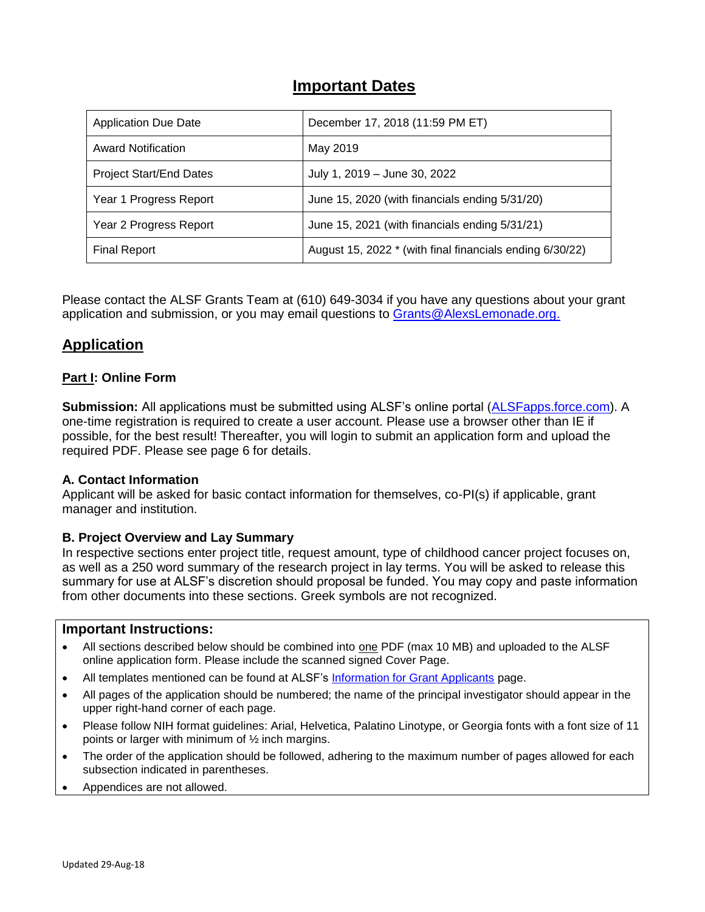# **Important Dates**

| <b>Application Due Date</b>    | December 17, 2018 (11:59 PM ET)                          |
|--------------------------------|----------------------------------------------------------|
| <b>Award Notification</b>      | May 2019                                                 |
| <b>Project Start/End Dates</b> | July 1, 2019 - June 30, 2022                             |
| Year 1 Progress Report         | June 15, 2020 (with financials ending 5/31/20)           |
| Year 2 Progress Report         | June 15, 2021 (with financials ending 5/31/21)           |
| <b>Final Report</b>            | August 15, 2022 * (with final financials ending 6/30/22) |

Please contact the ALSF Grants Team at (610) 649-3034 if you have any questions about your grant application and submission, or you may email questions to [Grants@AlexsLemonade.org.](mailto:Grants@AlexsLemonade.org)

# **Application**

### **Part I: Online Form**

**Submission:** All applications must be submitted using ALSF's online portal [\(ALSFapps.force.com\)](https://alsfapps.force.com/). A one-time registration is required to create a user account. Please use a browser other than IE if possible, for the best result! Thereafter, you will login to submit an application form and upload the required PDF. Please see page 6 for details.

### **A. Contact Information**

Applicant will be asked for basic contact information for themselves, co-PI(s) if applicable, grant manager and institution.

### **B. Project Overview and Lay Summary**

In respective sections enter project title, request amount, type of childhood cancer project focuses on, as well as a 250 word summary of the research project in lay terms. You will be asked to release this summary for use at ALSF's discretion should proposal be funded. You may copy and paste information from other documents into these sections. Greek symbols are not recognized.

#### **Important Instructions:**

- All sections described below should be combined into one PDF (max 10 MB) and uploaded to the ALSF online application form. Please include the scanned signed Cover Page.
- All templates mentioned can be found at ALSF's [Information for Grant Applicants](http://www.alexslemonade.org/grants/guidelines) page.
- All pages of the application should be numbered; the name of the principal investigator should appear in the upper right-hand corner of each page.
- Please follow NIH format guidelines: Arial, Helvetica, Palatino Linotype, or Georgia fonts with a font size of 11 points or larger with minimum of ½ inch margins.
- The order of the application should be followed, adhering to the maximum number of pages allowed for each subsection indicated in parentheses.
- Appendices are not allowed.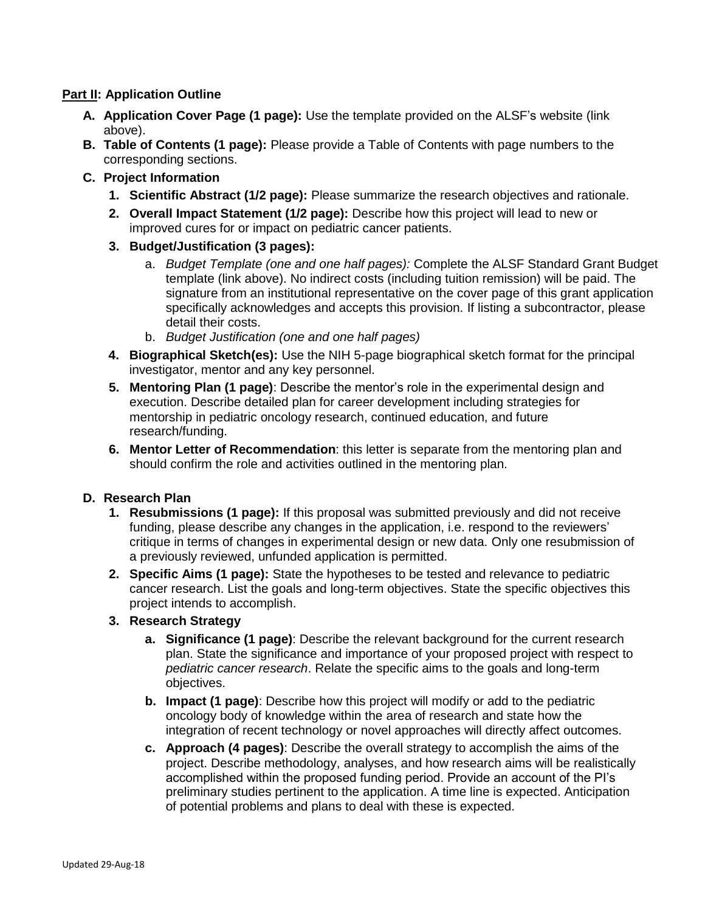### **Part II: Application Outline**

- **A. Application Cover Page (1 page):** Use the template provided on the ALSF's website (link above).
- **B. Table of Contents (1 page):** Please provide a Table of Contents with page numbers to the corresponding sections.
- **C. Project Information**
	- **1. Scientific Abstract (1/2 page):** Please summarize the research objectives and rationale.
	- **2. Overall Impact Statement (1/2 page):** Describe how this project will lead to new or improved cures for or impact on pediatric cancer patients.
	- **3. Budget/Justification (3 pages):**
		- a. *Budget Template (one and one half pages):* Complete the ALSF Standard Grant Budget template (link above). No indirect costs (including tuition remission) will be paid. The signature from an institutional representative on the cover page of this grant application specifically acknowledges and accepts this provision. If listing a subcontractor, please detail their costs.
		- b. *Budget Justification (one and one half pages)*
	- **4. Biographical Sketch(es):** Use the NIH 5-page biographical sketch format for the principal investigator, mentor and any key personnel.
	- **5. Mentoring Plan (1 page)**: Describe the mentor's role in the experimental design and execution. Describe detailed plan for career development including strategies for mentorship in pediatric oncology research, continued education, and future research/funding.
	- **6. Mentor Letter of Recommendation**: this letter is separate from the mentoring plan and should confirm the role and activities outlined in the mentoring plan.

### **D. Research Plan**

- **1. Resubmissions (1 page):** If this proposal was submitted previously and did not receive funding, please describe any changes in the application, i.e. respond to the reviewers' critique in terms of changes in experimental design or new data. Only one resubmission of a previously reviewed, unfunded application is permitted.
- **2. Specific Aims (1 page):** State the hypotheses to be tested and relevance to pediatric cancer research. List the goals and long-term objectives. State the specific objectives this project intends to accomplish.
- **3. Research Strategy**
	- **a. Significance (1 page)**: Describe the relevant background for the current research plan. State the significance and importance of your proposed project with respect to *pediatric cancer research*. Relate the specific aims to the goals and long-term objectives.
	- **b. Impact (1 page)**: Describe how this project will modify or add to the pediatric oncology body of knowledge within the area of research and state how the integration of recent technology or novel approaches will directly affect outcomes.
	- **c. Approach (4 pages)**: Describe the overall strategy to accomplish the aims of the project. Describe methodology, analyses, and how research aims will be realistically accomplished within the proposed funding period. Provide an account of the PI's preliminary studies pertinent to the application. A time line is expected. Anticipation of potential problems and plans to deal with these is expected.